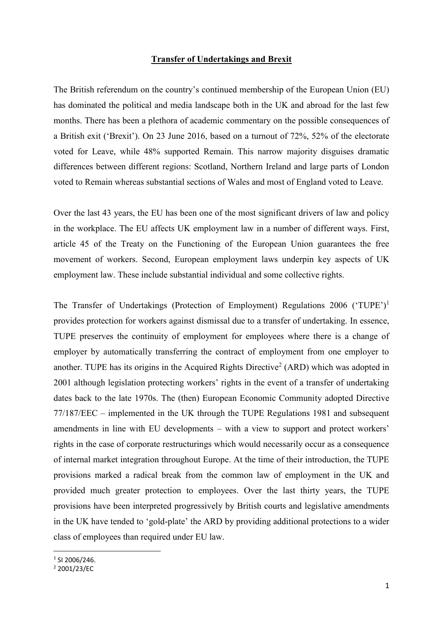## **Transfer of Undertakings and Brexit**

The British referendum on the country's continued membership of the European Union (EU) has dominated the political and media landscape both in the UK and abroad for the last few months. There has been a plethora of academic commentary on the possible consequences of a British exit ('Brexit'). On 23 June 2016, based on a turnout of 72%, 52% of the electorate voted for Leave, while 48% supported Remain. This narrow majority disguises dramatic differences between different regions: Scotland, Northern Ireland and large parts of London voted to Remain whereas substantial sections of Wales and most of England voted to Leave.

Over the last 43 years, the EU has been one of the most significant drivers of law and policy in the workplace. The EU affects UK employment law in a number of different ways. First, article 45 of the Treaty on the Functioning of the European Union guarantees the free movement of workers. Second, European employment laws underpin key aspects of UK employment law. These include substantial individual and some collective rights.

The Transfer of Undertakings (Protection of Employment) Regulations 2006 ('TUPE')<sup>1</sup> provides protection for workers against dismissal due to a transfer of undertaking. In essence, TUPE preserves the continuity of employment for employees where there is a change of employer by automatically transferring the contract of employment from one employer to another. TUPE has its origins in the Acquired Rights Directive<sup>2</sup> (ARD) which was adopted in 2001 although legislation protecting workers' rights in the event of a transfer of undertaking dates back to the late 1970s. The (then) European Economic Community adopted Directive 77/187/EEC – implemented in the UK through the TUPE Regulations 1981 and subsequent amendments in line with EU developments – with a view to support and protect workers' rights in the case of corporate restructurings which would necessarily occur as a consequence of internal market integration throughout Europe. At the time of their introduction, the TUPE provisions marked a radical break from the common law of employment in the UK and provided much greater protection to employees. Over the last thirty years, the TUPE provisions have been interpreted progressively by British courts and legislative amendments in the UK have tended to 'gold-plate' the ARD by providing additional protections to a wider class of employees than required under EU law.

**.** 

<sup>1</sup> SI 2006/246.

<sup>2</sup> 2001/23/EC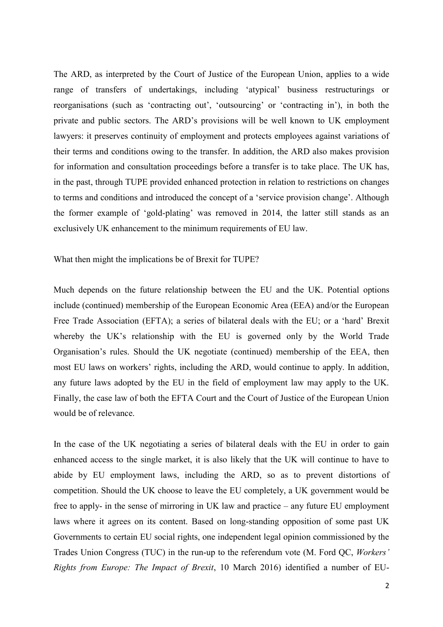The ARD, as interpreted by the Court of Justice of the European Union, applies to a wide range of transfers of undertakings, including 'atypical' business restructurings or reorganisations (such as 'contracting out', 'outsourcing' or 'contracting in'), in both the private and public sectors. The ARD's provisions will be well known to UK employment lawyers: it preserves continuity of employment and protects employees against variations of their terms and conditions owing to the transfer. In addition, the ARD also makes provision for information and consultation proceedings before a transfer is to take place. The UK has, in the past, through TUPE provided enhanced protection in relation to restrictions on changes to terms and conditions and introduced the concept of a 'service provision change'. Although the former example of 'gold-plating' was removed in 2014, the latter still stands as an exclusively UK enhancement to the minimum requirements of EU law.

What then might the implications be of Brexit for TUPE?

Much depends on the future relationship between the EU and the UK. Potential options include (continued) membership of the European Economic Area (EEA) and/or the European Free Trade Association (EFTA); a series of bilateral deals with the EU; or a 'hard' Brexit whereby the UK's relationship with the EU is governed only by the World Trade Organisation's rules. Should the UK negotiate (continued) membership of the EEA, then most EU laws on workers' rights, including the ARD, would continue to apply. In addition, any future laws adopted by the EU in the field of employment law may apply to the UK. Finally, the case law of both the EFTA Court and the Court of Justice of the European Union would be of relevance.

In the case of the UK negotiating a series of bilateral deals with the EU in order to gain enhanced access to the single market, it is also likely that the UK will continue to have to abide by EU employment laws, including the ARD, so as to prevent distortions of competition. Should the UK choose to leave the EU completely, a UK government would be free to apply- in the sense of mirroring in UK law and practice – any future EU employment laws where it agrees on its content. Based on long-standing opposition of some past UK Governments to certain EU social rights, one independent legal opinion commissioned by the Trades Union Congress (TUC) in the run-up to the referendum vote (M. Ford QC, *Workers' Rights from Europe: The Impact of Brexit*, 10 March 2016) identified a number of EU-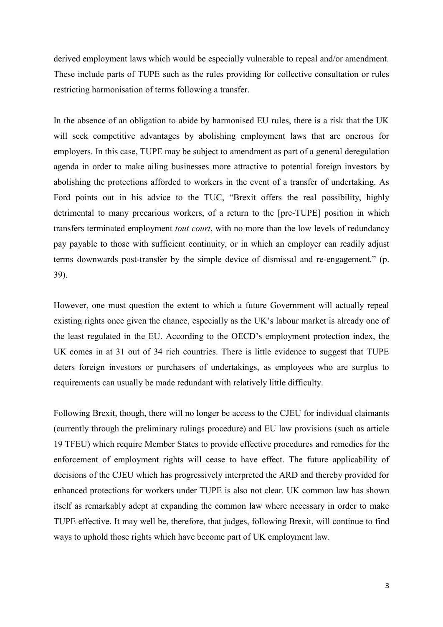derived employment laws which would be especially vulnerable to repeal and/or amendment. These include parts of TUPE such as the rules providing for collective consultation or rules restricting harmonisation of terms following a transfer.

In the absence of an obligation to abide by harmonised EU rules, there is a risk that the UK will seek competitive advantages by abolishing employment laws that are onerous for employers. In this case, TUPE may be subject to amendment as part of a general deregulation agenda in order to make ailing businesses more attractive to potential foreign investors by abolishing the protections afforded to workers in the event of a transfer of undertaking. As Ford points out in his advice to the TUC, "Brexit offers the real possibility, highly detrimental to many precarious workers, of a return to the [pre-TUPE] position in which transfers terminated employment *tout court*, with no more than the low levels of redundancy pay payable to those with sufficient continuity, or in which an employer can readily adjust terms downwards post-transfer by the simple device of dismissal and re-engagement." (p. 39).

However, one must question the extent to which a future Government will actually repeal existing rights once given the chance, especially as the UK's labour market is already one of the least regulated in the EU. According to the OECD's employment protection index, the UK comes in at 31 out of 34 rich countries. There is little evidence to suggest that TUPE deters foreign investors or purchasers of undertakings, as employees who are surplus to requirements can usually be made redundant with relatively little difficulty.

Following Brexit, though, there will no longer be access to the CJEU for individual claimants (currently through the preliminary rulings procedure) and EU law provisions (such as article 19 TFEU) which require Member States to provide effective procedures and remedies for the enforcement of employment rights will cease to have effect. The future applicability of decisions of the CJEU which has progressively interpreted the ARD and thereby provided for enhanced protections for workers under TUPE is also not clear. UK common law has shown itself as remarkably adept at expanding the common law where necessary in order to make TUPE effective. It may well be, therefore, that judges, following Brexit, will continue to find ways to uphold those rights which have become part of UK employment law.